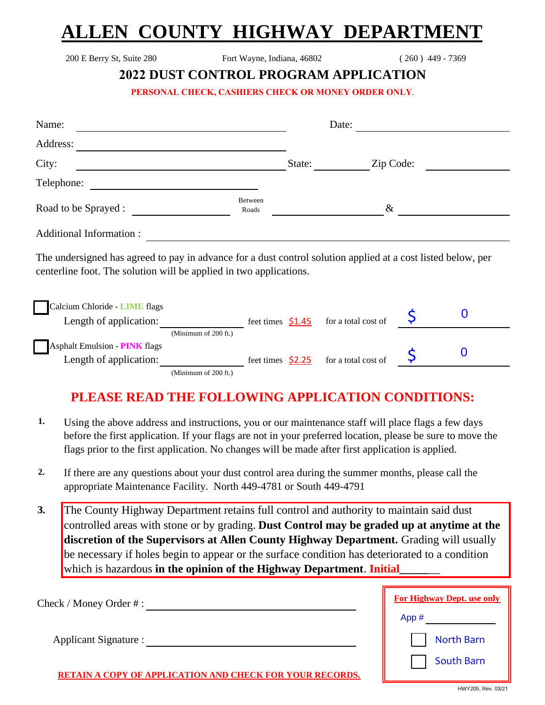# **ALLEN COUNTY HIGHWAY DEPARTMEN**

200 E Berry St, Suite 280 Fort Wayne, Indiana, 46802 ( 260 ) 449 - 7369

#### **2022 DUST CONTROL PROGRAM APPLICATION**

**PERSONAL CHECK, CASHIERS CHECK OR MONEY ORDER ONLY**.

| Name:                                                                                                                                                                              |                      |                    | Date:                                  |  |   |
|------------------------------------------------------------------------------------------------------------------------------------------------------------------------------------|----------------------|--------------------|----------------------------------------|--|---|
| Address:                                                                                                                                                                           |                      |                    |                                        |  |   |
| City:                                                                                                                                                                              |                      | State:             | Zip Code:                              |  |   |
| Telephone:                                                                                                                                                                         |                      |                    |                                        |  |   |
| Road to be Sprayed :                                                                                                                                                               | Between<br>Roads     |                    | $\&$                                   |  |   |
| <b>Additional Information:</b>                                                                                                                                                     |                      |                    |                                        |  |   |
| The undersigned has agreed to pay in advance for a dust control solution applied at a cost listed below, per<br>centerline foot. The solution will be applied in two applications. |                      |                    |                                        |  |   |
| Calcium Chloride - LIME flags<br>Length of application:                                                                                                                            |                      | feet times $$1.45$ | for a total cost of                    |  | 0 |
| <b>Asphalt Emulsion - PINK flags</b>                                                                                                                                               | (Minimum of 200 ft.) |                    |                                        |  |   |
| Length of application:                                                                                                                                                             |                      |                    | feet times $$2.25$ for a total cost of |  | 0 |
|                                                                                                                                                                                    | (Minimum of 200 ft.) |                    |                                        |  |   |

### **PLEASE READ THE FOLLOWING APPLICATION CONDITIONS:**

- **1.** Using the above address and instructions, you or our maintenance staff will place flags a few days before the first application. If your flags are not in your preferred location, please be sure to move the flags prior to the first application. No changes will be made after first application is applied.
- **2.** If there are any questions about your dust control area during the summer months, please call the appropriate Maintenance Facility. North 449-4781 or South 449-4791
- **3.** The County Highway Department retains full control and authority to maintain said dust controlled areas with stone or by grading. **Dust Control may be graded up at anytime at the discretion of the Supervisors at Allen County Highway Department.** Grading will usually be necessary if holes begin to appear or the surface condition has deteriorated to a condition which is hazardous **in the opinion of the Highway Department**. **Initial**

| $Check / Money Order$ #:                          | For Highway Dept. use only |  |  |
|---------------------------------------------------|----------------------------|--|--|
|                                                   | App#                       |  |  |
| Applicant Signature :                             | <b>North Barn</b>          |  |  |
| A COPY OF APPLICATION AND CHECK FOR YOUR RECORDS. | South Barn                 |  |  |